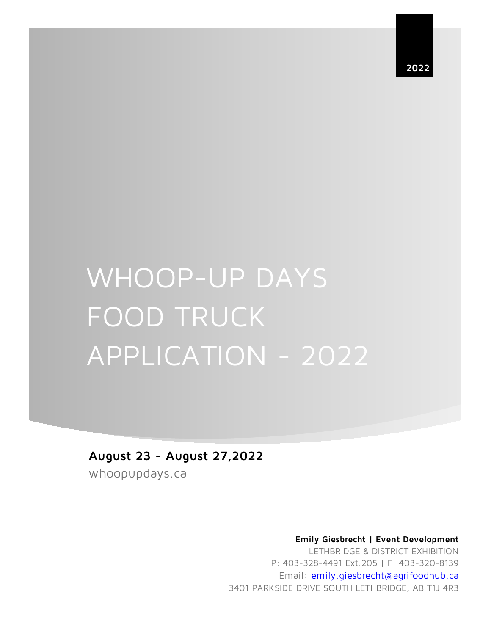**2022**

# WHOOP-UP DAYS FOOD TRUCK APPLICATION - 2022

**August 23 - August 27,2022**

whoopupdays.ca

 **Emily Giesbrecht | Event Development** 

LETHBRIDGE & DISTRICT EXHIBITION P: 403-328-4491 Ext.205 | F: 403-320-8139 Email: emily.giesbrecht@agrifoodhub.ca 3401 PARKSIDE DRIVE SOUTH LETHBRIDGE, AB T1J 4R3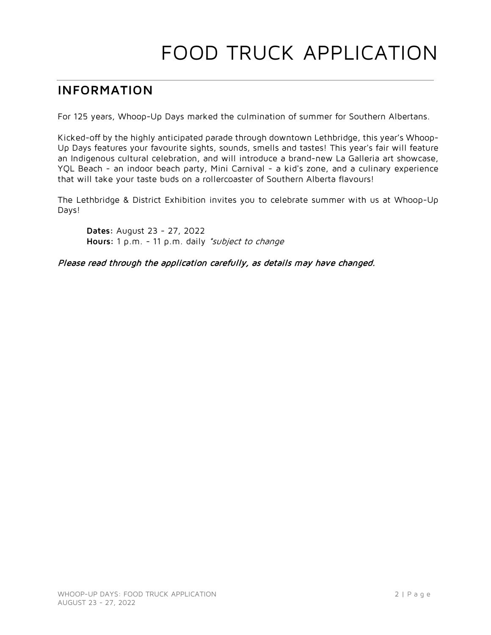# FOOD TRUCK APPLICATION

# **INFORMATION**

For 125 years, Whoop-Up Days marked the culmination of summer for Southern Albertans.

Kicked-off by the highly anticipated parade through downtown Lethbridge, this year's Whoop-Up Days features your favourite sights, sounds, smells and tastes! This year's fair will feature an Indigenous cultural celebration, and will introduce a brand-new La Galleria art showcase, YQL Beach - an indoor beach party, Mini Carnival - a kid's zone, and a culinary experience that will take your taste buds on a rollercoaster of Southern Alberta flavours!

The Lethbridge & District Exhibition invites you to celebrate summer with us at Whoop-Up Days!

**Dates:** August 23 - 27, 2022 **Hours:** 1 p.m. - 11 p.m. daily \*subject to change

Please read through the application carefully, as details may have changed.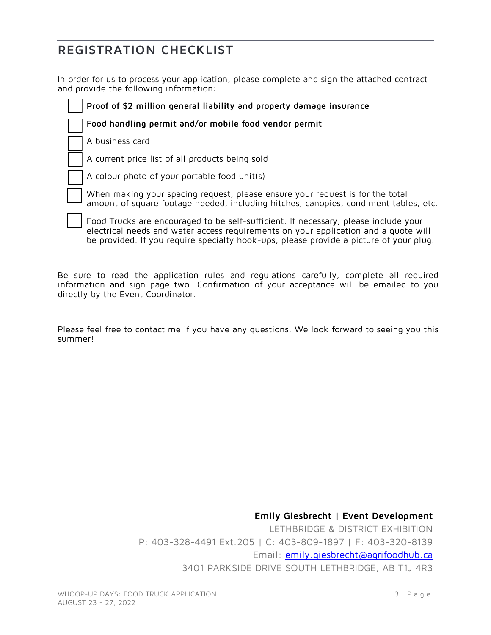# **REGISTRATION CHECKLIST**

In order for us to process your application, please complete and sign the attached contract and provide the following information:

**Proof of \$2 million general liability and property damage insurance**

**Food handling permit and/or mobile food vendor permit** 

A business card

A current price list of all products being sold

A colour photo of your portable food unit(s)

 When making your spacing request, please ensure your request is for the total amount of square footage needed, including hitches, canopies, condiment tables, etc.

 Food Trucks are encouraged to be self-sufficient. If necessary, please include your electrical needs and water access requirements on your application and a quote will be provided. If you require specialty hook-ups, please provide a picture of your plug.

Be sure to read the application rules and regulations carefully, complete all required information and sign page two. Confirmation of your acceptance will be emailed to you directly by the Event Coordinator.

Please feel free to contact me if you have any questions. We look forward to seeing you this summer!

> **Emily Giesbrecht | Event Development**  LETHBRIDGE & DISTRICT EXHIBITION P: 403-328-4491 Ext.205 | C: 403-809-1897 | F: 403-320-8139 Email: **emily.giesbrecht@agrifoodhub.ca** 3401 PARKSIDE DRIVE SOUTH LETHBRIDGE, AB T1J 4R3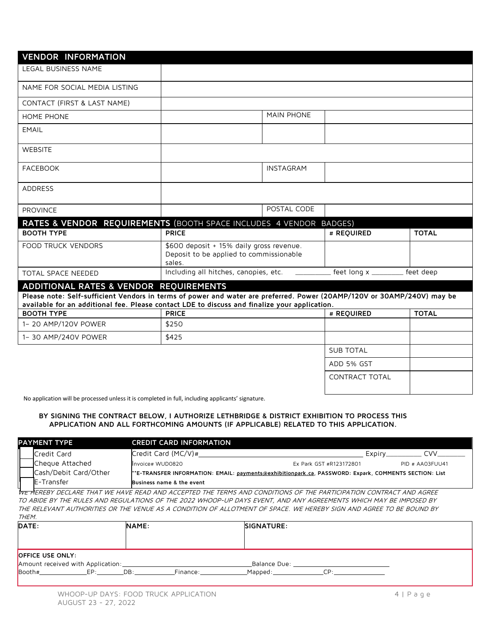| <b>VENDOR INFORMATION</b>                                          |                                                                                                                                                                                                                          |             |                       |              |  |  |  |  |
|--------------------------------------------------------------------|--------------------------------------------------------------------------------------------------------------------------------------------------------------------------------------------------------------------------|-------------|-----------------------|--------------|--|--|--|--|
| <b>LEGAL BUSINESS NAME</b>                                         |                                                                                                                                                                                                                          |             |                       |              |  |  |  |  |
| NAME FOR SOCIAL MEDIA LISTING                                      |                                                                                                                                                                                                                          |             |                       |              |  |  |  |  |
| CONTACT (FIRST & LAST NAME)                                        |                                                                                                                                                                                                                          |             |                       |              |  |  |  |  |
| HOME PHONE                                                         |                                                                                                                                                                                                                          | MAIN PHONE  |                       |              |  |  |  |  |
| <b>EMAIL</b>                                                       |                                                                                                                                                                                                                          |             |                       |              |  |  |  |  |
| <b>WEBSITE</b>                                                     |                                                                                                                                                                                                                          |             |                       |              |  |  |  |  |
| <b>FACEBOOK</b>                                                    |                                                                                                                                                                                                                          | INSTAGRAM   |                       |              |  |  |  |  |
| <b>ADDRESS</b>                                                     |                                                                                                                                                                                                                          |             |                       |              |  |  |  |  |
| <b>PROVINCE</b>                                                    |                                                                                                                                                                                                                          | POSTAL CODE |                       |              |  |  |  |  |
| RATES & VENDOR REQUIREMENTS (BOOTH SPACE INCLUDES 4 VENDOR BADGES) |                                                                                                                                                                                                                          |             |                       |              |  |  |  |  |
| <b>BOOTH TYPE</b>                                                  | <b>PRICE</b>                                                                                                                                                                                                             |             | # REQUIRED            | <b>TOTAL</b> |  |  |  |  |
| <b>FOOD TRUCK VENDORS</b>                                          | \$600 deposit + 15% daily gross revenue.<br>Deposit to be applied to commissionable<br>sales.                                                                                                                            |             |                       |              |  |  |  |  |
| <b>TOTAL SPACE NEEDED</b>                                          | Including all hitches, canopies, etc.                                                                                                                                                                                    |             | feet long x ________  | feet deep    |  |  |  |  |
| ADDITIONAL RATES & VENDOR REQUIREMENTS                             |                                                                                                                                                                                                                          |             |                       |              |  |  |  |  |
|                                                                    | Please note: Self-sufficient Vendors in terms of power and water are preferred. Power (20AMP/120V or 30AMP/240V) may be<br>available for an additional fee. Please contact LDE to discuss and finalize your application. |             |                       |              |  |  |  |  |
|                                                                    |                                                                                                                                                                                                                          |             |                       |              |  |  |  |  |
| <b>BOOTH TYPE</b>                                                  | <b>PRICE</b>                                                                                                                                                                                                             |             | # REQUIRED            | <b>TOTAL</b> |  |  |  |  |
| 1- 20 AMP/120V POWER                                               | \$250                                                                                                                                                                                                                    |             |                       |              |  |  |  |  |
| 1-30 AMP/240V POWER                                                | \$425                                                                                                                                                                                                                    |             |                       |              |  |  |  |  |
|                                                                    |                                                                                                                                                                                                                          |             | <b>SUB TOTAL</b>      |              |  |  |  |  |
|                                                                    |                                                                                                                                                                                                                          |             | ADD 5% GST            |              |  |  |  |  |
|                                                                    |                                                                                                                                                                                                                          |             | <b>CONTRACT TOTAL</b> |              |  |  |  |  |

No application will be processed unless it is completed in full, including applicants' signature.

#### **BY SIGNING THE CONTRACT BELOW, I AUTHORIZE LETHBRIDGE & DISTRICT EXHIBITION TO PROCESS THIS APPLICATION AND ALL FORTHCOMING AMOUNTS (IF APPLICABLE) RELATED TO THIS APPLICATION.**

|                                                                                                                    | <b>PAYMENT TYPE</b>                                                                                                             | <b>CREDIT CARD INFORMATION</b> |                         |                  |  |
|--------------------------------------------------------------------------------------------------------------------|---------------------------------------------------------------------------------------------------------------------------------|--------------------------------|-------------------------|------------------|--|
|                                                                                                                    | Credit Card                                                                                                                     | Credit Card $MC/V$ )#          | Expiry                  | rvv              |  |
|                                                                                                                    | Cheque Attached                                                                                                                 | Invoice# WUD0820               | Ex Park GST #R123172801 | PID # AAO3FUL141 |  |
|                                                                                                                    | Cash/Debit Card/Other<br>**E-TRANSFER INFORMATION: EMAIL: payments@exhibitionpark.ca, PASSWORD: Expark, COMMENTS SECTION: List" |                                |                         |                  |  |
|                                                                                                                    | <b>IE-Transfer</b>                                                                                                              | Business name & the event      |                         |                  |  |
| THE HERERY NECLARE THAT WE HAVE REAN AND ACCEPTEN THE TERMS AND CONDITIONS OF THE PARTICIPATION CONTRACT AND AGREE |                                                                                                                                 |                                |                         |                  |  |

WE HEREBY DECLARE THAT WE HAVE READ AND ACCEPTED THE TERMS AND CONDITIONS OF THE PARTICIPATION CONTRACT AND AGREE TO ABIDE BY THE RULES AND REGULATIONS OF THE 2022 WHOOP-UP DAYS EVENT, AND ANY AGREEMENTS WHICH MAY BE IMPOSED BY THE RELEVANT AUTHORITIES OR THE VENUE AS A CONDITION OF ALLOTMENT OF SPACE. WE HEREBY SIGN AND AGREE TO BE BOUND BY THEM.

| DATE:                                                        |     | NAME: |          | SIGNATURE:   |            |
|--------------------------------------------------------------|-----|-------|----------|--------------|------------|
|                                                              |     |       |          |              |            |
| <b>OFFICE USE ONLY:</b><br>Amount received with Application: |     |       |          | Balance Due: |            |
| $\mathsf{Boolh}\$ #                                          | FP: | DB:   | Finance: | Mapped:      | $\cap D$ . |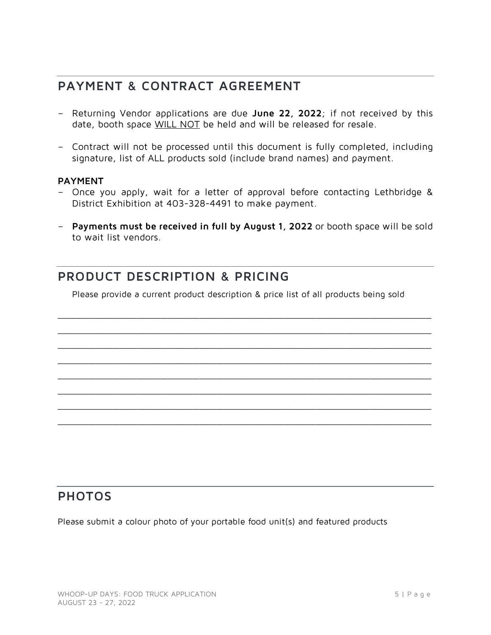# **PAYMENT & CONTRACT AGREEMENT**

- Returning Vendor applications are due **June 22, 2022**; if not received by this date, booth space WILL NOT be held and will be released for resale.
- Contract will not be processed until this document is fully completed, including signature, list of ALL products sold (include brand names) and payment.

#### **PAYMENT**

- Once you apply, wait for a letter of approval before contacting Lethbridge & District Exhibition at 403-328-4491 to make payment.
- **Payments must be received in full by August 1, 2022** or booth space will be sold to wait list vendors.

# **PRODUCT DESCRIPTION & PRICING**

Please provide a current product description & price list of all products being sold

\_\_\_\_\_\_\_\_\_\_\_\_\_\_\_\_\_\_\_\_\_\_\_\_\_\_\_\_\_\_\_\_\_\_\_\_\_\_\_\_\_\_\_\_\_\_\_\_\_\_\_\_\_\_\_\_\_\_\_\_\_  $\_$  ,  $\_$  ,  $\_$  ,  $\_$  ,  $\_$  ,  $\_$  ,  $\_$  ,  $\_$  ,  $\_$  ,  $\_$  ,  $\_$  ,  $\_$  ,  $\_$  ,  $\_$  ,  $\_$  ,  $\_$  ,  $\_$  ,  $\_$  ,  $\_$  ,  $\_$  ,  $\_$  ,  $\_$  ,  $\_$  ,  $\_$  ,  $\_$  ,  $\_$  ,  $\_$  ,  $\_$  ,  $\_$  ,  $\_$  ,  $\_$  ,  $\_$  ,  $\_$  ,  $\_$  ,  $\_$  ,  $\_$  ,  $\_$  , \_\_\_\_\_\_\_\_\_\_\_\_\_\_\_\_\_\_\_\_\_\_\_\_\_\_\_\_\_\_\_\_\_\_\_\_\_\_\_\_\_\_\_\_\_\_\_\_\_\_\_\_\_\_\_\_\_\_\_\_\_ \_\_\_\_\_\_\_\_\_\_\_\_\_\_\_\_\_\_\_\_\_\_\_\_\_\_\_\_\_\_\_\_\_\_\_\_\_\_\_\_\_\_\_\_\_\_\_\_\_\_\_\_\_\_\_\_\_\_\_\_\_  $\_$  ,  $\_$  ,  $\_$  ,  $\_$  ,  $\_$  ,  $\_$  ,  $\_$  ,  $\_$  ,  $\_$  ,  $\_$  ,  $\_$  ,  $\_$  ,  $\_$  ,  $\_$  ,  $\_$  ,  $\_$  ,  $\_$  ,  $\_$  ,  $\_$  ,  $\_$  ,  $\_$  ,  $\_$  ,  $\_$  ,  $\_$  ,  $\_$  ,  $\_$  ,  $\_$  ,  $\_$  ,  $\_$  ,  $\_$  ,  $\_$  ,  $\_$  ,  $\_$  ,  $\_$  ,  $\_$  ,  $\_$  ,  $\_$  , \_\_\_\_\_\_\_\_\_\_\_\_\_\_\_\_\_\_\_\_\_\_\_\_\_\_\_\_\_\_\_\_\_\_\_\_\_\_\_\_\_\_\_\_\_\_\_\_\_\_\_\_\_\_\_\_\_\_\_\_\_  $\_$  ,  $\_$  ,  $\_$  ,  $\_$  ,  $\_$  ,  $\_$  ,  $\_$  ,  $\_$  ,  $\_$  ,  $\_$  ,  $\_$  ,  $\_$  ,  $\_$  ,  $\_$  ,  $\_$  ,  $\_$  ,  $\_$  ,  $\_$  ,  $\_$  ,  $\_$  ,  $\_$  ,  $\_$  ,  $\_$  ,  $\_$  ,  $\_$  ,  $\_$  ,  $\_$  ,  $\_$  ,  $\_$  ,  $\_$  ,  $\_$  ,  $\_$  ,  $\_$  ,  $\_$  ,  $\_$  ,  $\_$  ,  $\_$  , \_\_\_\_\_\_\_\_\_\_\_\_\_\_\_\_\_\_\_\_\_\_\_\_\_\_\_\_\_\_\_\_\_\_\_\_\_\_\_\_\_\_\_\_\_\_\_\_\_\_\_\_\_\_\_\_\_\_\_\_\_

### **PHOTOS**

Please submit a colour photo of your portable food unit(s) and featured products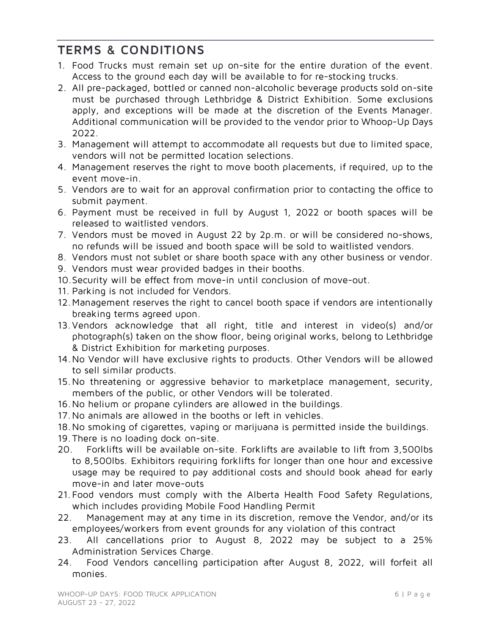# **TERMS & CONDITIONS**

- 1. Food Trucks must remain set up on-site for the entire duration of the event. Access to the ground each day will be available to for re-stocking trucks.
- 2. All pre-packaged, bottled or canned non-alcoholic beverage products sold on-site must be purchased through Lethbridge & District Exhibition. Some exclusions apply, and exceptions will be made at the discretion of the Events Manager. Additional communication will be provided to the vendor prior to Whoop-Up Days 2022.
- 3. Management will attempt to accommodate all requests but due to limited space, vendors will not be permitted location selections.
- 4. Management reserves the right to move booth placements, if required, up to the event move-in.
- 5. Vendors are to wait for an approval confirmation prior to contacting the office to submit payment.
- 6. Payment must be received in full by August 1, 2022 or booth spaces will be released to waitlisted vendors.
- 7. Vendors must be moved in August 22 by 2p.m. or will be considered no-shows, no refunds will be issued and booth space will be sold to waitlisted vendors.
- 8. Vendors must not sublet or share booth space with any other business or vendor.
- 9. Vendors must wear provided badges in their booths.
- 10.Security will be effect from move-in until conclusion of move-out.
- 11. Parking is not included for Vendors.
- 12.Management reserves the right to cancel booth space if vendors are intentionally breaking terms agreed upon.
- 13.Vendors acknowledge that all right, title and interest in video(s) and/or photograph(s) taken on the show floor, being original works, belong to Lethbridge & District Exhibition for marketing purposes.
- 14.No Vendor will have exclusive rights to products. Other Vendors will be allowed to sell similar products.
- 15.No threatening or aggressive behavior to marketplace management, security, members of the public, or other Vendors will be tolerated.
- 16.No helium or propane cylinders are allowed in the buildings.
- 17.No animals are allowed in the booths or left in vehicles.
- 18.No smoking of cigarettes, vaping or marijuana is permitted inside the buildings.
- 19.There is no loading dock on-site.
- 20. Forklifts will be available on-site. Forklifts are available to lift from 3,500lbs to 8,500lbs. Exhibitors requiring forklifts for longer than one hour and excessive usage may be required to pay additional costs and should book ahead for early move-in and later move-outs
- 21. Food vendors must comply with the Alberta Health Food Safety Regulations, which includes providing Mobile Food Handling Permit
- 22. Management may at any time in its discretion, remove the Vendor, and/or its employees/workers from event grounds for any violation of this contract
- 23. All cancellations prior to August 8, 2022 may be subject to a 25% Administration Services Charge.
- 24. Food Vendors cancelling participation after August 8, 2022, will forfeit all monies.